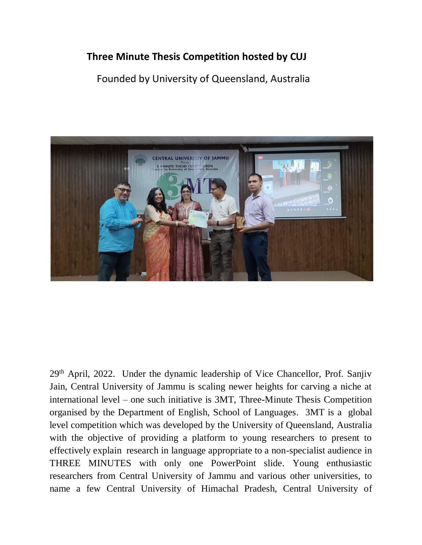## **Three Minute Thesis Competition hosted by CUJ**

## Founded by University of Queensland, Australia



29th April, 2022. Under the dynamic leadership of Vice Chancellor, Prof. Sanjiv Jain, Central University of Jammu is scaling newer heights for carving a niche at international level – one such initiative is 3MT, Three-Minute Thesis Competition organised by the Department of English, School of Languages. 3MT is a global level competition which was developed by the University of Queensland, Australia with the objective of providing a platform to young researchers to present to effectively explain research in language appropriate to a non-specialist audience in THREE MINUTES with only one PowerPoint slide. Young enthusiastic researchers from Central University of Jammu and various other universities, to name a few Central University of Himachal Pradesh, Central University of